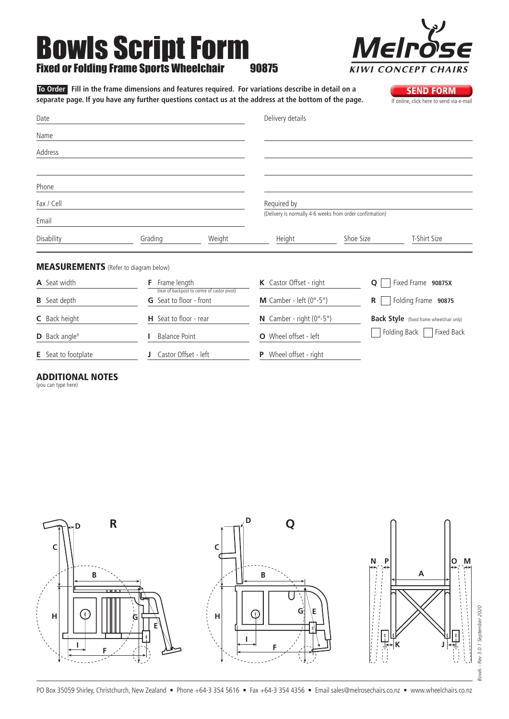# Bowls Script Form Fixed or Folding Frame Sports Wheelchair 90875

 **To Order Fill in the frame dimensions and features required. For variations describe in detail on a**  separate page. If you have any further questions contact us at the address at the bottom of the page.

| Date                                         |                   | Delivery details |                         |                                                          |                    |
|----------------------------------------------|-------------------|------------------|-------------------------|----------------------------------------------------------|--------------------|
| Name                                         |                   |                  |                         |                                                          |                    |
| Address                                      |                   |                  |                         |                                                          |                    |
| Phone                                        |                   |                  |                         |                                                          |                    |
| Fax / Cell                                   |                   |                  | Required by             |                                                          |                    |
| Email                                        |                   |                  |                         | (Delivery is normally 4-6 weeks from order confirmation) |                    |
| Disability                                   | Grading           | Weight           | Height                  | Shoe Size                                                | T-Shirt Size       |
| <b>MEASUREMENTS</b> (Refer to diagram below) |                   |                  |                         |                                                          |                    |
| A Seat width                                 | Frame length<br>F |                  | K Castor Offset - right | $\mathbf Q$                                              | Fixed Frame 90875X |

| <b>A</b> Seat width              | Frame length<br>(rear of backpost to centre of castor pivot) | <b>K</b> Castor Offset - right                    | 0<br>Fixed Frame 90875X                         |
|----------------------------------|--------------------------------------------------------------|---------------------------------------------------|-------------------------------------------------|
| <b>B</b> Seat depth              | <b>G</b> Seat to floor - front                               | <b>M</b> Camber - left $(0^{\circ} - 5^{\circ})$  | Folding Frame 90875<br>R                        |
| <b>C</b> Back height             | <b>H</b> Seat to floor - rear                                | <b>N</b> Camber - right $(0^{\circ} - 5^{\circ})$ | <b>Back Style</b> (fixed frame wheelchair only) |
| <b>D</b> Back angle <sup>o</sup> | <b>Balance Point</b>                                         | <b>O</b> Wheel offset - left                      | Folding Back<br>Fixed Back                      |
| <b>E</b> Seat to footplate       | Castor Offset - left                                         | P Wheel offset - right                            |                                                 |

#### Additional Notes

(you can type here)







**SEND FORM**<br>If online, click here to send via e-mail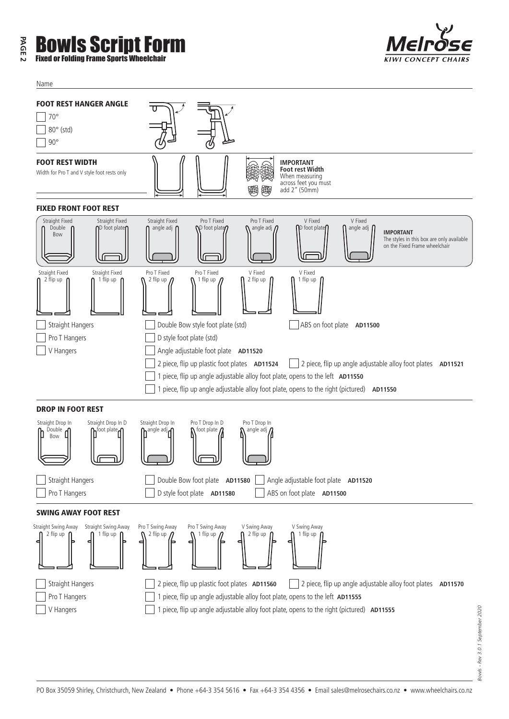## **PAGE 2** Bowls Script Form Fixed or Folding Frame Sports Wheelchair

Name



| <b>FOOT REST HANGER ANGLE</b><br>$70^{\circ}$<br>80° (std)<br>$90^{\circ}$                                       |                                                                                                                                                                                                                                                                                                                              |
|------------------------------------------------------------------------------------------------------------------|------------------------------------------------------------------------------------------------------------------------------------------------------------------------------------------------------------------------------------------------------------------------------------------------------------------------------|
| <b>FOOT REST WIDTH</b><br>Width for Pro T and V style foot rests only                                            | <b>IMPORTANT</b><br>Foot rest Width<br>When measuring<br>across feet you must<br>add 2" (50mm)                                                                                                                                                                                                                               |
| <b>FIXED FRONT FOOT REST</b>                                                                                     |                                                                                                                                                                                                                                                                                                                              |
| Straight Fixed<br>Straight Fixed<br>Double<br>$\mathsf{D}\mathsf{foot}$ plate $\mathsf{\Omega}\mathsf{D}$<br>Bow | Straight Fixed<br>Pro T Fixed<br>Pro T Fixed<br>V Fixed<br>V Fixed<br>foot plate<br>angle adj $\int$<br>angle adj $\Gamma$<br>$\mathcal{D}$ foot plate<br>angle adj $\eta$<br><b>IMPORTANT</b><br>The styles in this box are only available<br>on the Fixed Frame wheelchair                                                 |
| Straight Fixed<br>Straight Fixed<br>2 flip up<br>1 flip up                                                       | Pro T Fixed<br>Pro T Fixed<br>V Fixed<br>V Fixed<br>2 flip up<br>1 flip up<br>2 flip up $\prime$<br>1 flip up                                                                                                                                                                                                                |
| <b>Straight Hangers</b>                                                                                          | Double Bow style foot plate (std)<br>ABS on foot plate AD11500                                                                                                                                                                                                                                                               |
| Pro T Hangers                                                                                                    | D style foot plate (std)                                                                                                                                                                                                                                                                                                     |
| V Hangers                                                                                                        | Angle adjustable foot plate AD11520<br>2 piece, flip up plastic foot plates AD11524<br>2 piece, flip up angle adjustable alloy foot plates AD11521<br>piece, flip up angle adjustable alloy foot plate, opens to the left AD11550<br>piece, flip up angle adjustable alloy foot plate, opens to the right (pictured) AD11550 |
| <b>DROP IN FOOT REST</b>                                                                                         |                                                                                                                                                                                                                                                                                                                              |
| Straight Drop In<br>Straight Drop In D<br>Double d<br>$\mathsf{h}$ foot plate $\mathsf{d}$<br>Bow                | Pro T Drop In D<br>Straight Drop In<br>Pro T Drop In<br>nangle adj <sub>n</sub><br>$\boldsymbol{\Lambda}$ foot plate $\boldsymbol{\Lambda}$<br>angle adj $\Omega$                                                                                                                                                            |
| <b>Straight Hangers</b><br>Pro T Hangers                                                                         | Double Bow foot plate AD11580<br>Angle adjustable foot plate AD11520<br>ABS on foot plate AD11500<br>D style foot plate AD11580                                                                                                                                                                                              |
| <b>SWING AWAY FOOT REST</b>                                                                                      |                                                                                                                                                                                                                                                                                                                              |
| Straight Swing Away<br>Straight Swing Away<br>2 flip up<br>1 tlip up<br>Þ                                        | Pro T Swing Away<br>Pro T Swing Away<br>V Swing Away<br>V Swing Away<br>2 flip up<br>2 flip up<br>1 flip up<br>1 tlip up<br>ь                                                                                                                                                                                                |
| Straight Hangers                                                                                                 | 2 piece, flip up plastic foot plates AD11560<br>2 piece, flip up angle adjustable alloy foot plates AD11570                                                                                                                                                                                                                  |
| Pro T Hangers                                                                                                    | piece, flip up angle adjustable alloy foot plate, opens to the left AD11555                                                                                                                                                                                                                                                  |
| V Hangers                                                                                                        | piece, flip up angle adjustable alloy foot plate, opens to the right (pictured) AD11555                                                                                                                                                                                                                                      |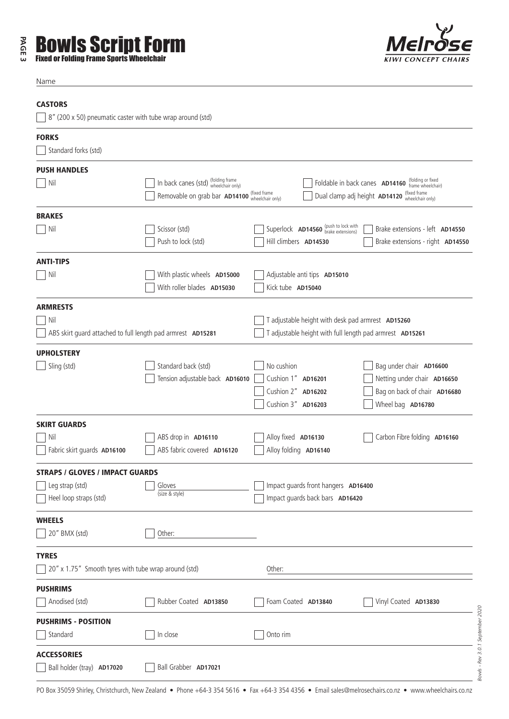### **PAGE 3** Bowls Script Form Fixed or Folding Frame Sports Wheelchair



Name

#### **CASTORS**

 $\sqrt{8''}$  (200 x 50) pneumatic caster with tube wrap around (std)

| <b>FORKS</b>                                                         |                                                                                                      |                                                                                                               |                                                                                        |
|----------------------------------------------------------------------|------------------------------------------------------------------------------------------------------|---------------------------------------------------------------------------------------------------------------|----------------------------------------------------------------------------------------|
| Standard forks (std)                                                 |                                                                                                      |                                                                                                               |                                                                                        |
| <b>PUSH HANDLES</b><br>$\vert$ Nil                                   | In back canes (std) (folding frame<br>wheelchair only)<br>Removable on grab bar AD14100 (fixed frame | Foldable in back canes AD14160 (folding or fixed<br>Dual clamp adj height AD14120 (fixed frame                |                                                                                        |
| <b>BRAKES</b>                                                        |                                                                                                      |                                                                                                               |                                                                                        |
| Nil                                                                  | Scissor (std)<br>Push to lock (std)                                                                  | Superlock AD14560 (push to lock with<br>Hill climbers AD14530                                                 | Brake extensions - left AD14550<br>Brake extensions - right AD14550                    |
| <b>ANTI-TIPS</b>                                                     |                                                                                                      |                                                                                                               |                                                                                        |
| Nil                                                                  | With plastic wheels AD15000<br>With roller blades AD15030                                            | Adjustable anti tips AD15010<br>Kick tube AD15040                                                             |                                                                                        |
| <b>ARMRESTS</b>                                                      |                                                                                                      |                                                                                                               |                                                                                        |
| Nil<br>ABS skirt guard attached to full length pad armrest AD15281   |                                                                                                      | T adjustable height with desk pad armrest AD15260<br>T adjustable height with full length pad armrest AD15261 |                                                                                        |
| <b>UPHOLSTERY</b>                                                    |                                                                                                      |                                                                                                               |                                                                                        |
| Sling (std)                                                          | Standard back (std)<br>Tension adjustable back AD16010                                               | No cushion<br>Cushion 1" AD16201<br>Cushion 2" AD16202                                                        | Bag under chair AD16600<br>Netting under chair AD16650<br>Bag on back of chair AD16680 |
|                                                                      |                                                                                                      | Cushion 3" AD16203                                                                                            | Wheel bag AD16780                                                                      |
| <b>SKIRT GUARDS</b>                                                  |                                                                                                      |                                                                                                               |                                                                                        |
| Nil<br>Fabric skirt guards AD16100                                   | ABS drop in AD16110<br>ABS fabric covered AD16120                                                    | Alloy fixed AD16130<br>Alloy folding AD16140                                                                  | Carbon Fibre folding AD16160                                                           |
| <b>STRAPS / GLOVES / IMPACT GUARDS</b>                               |                                                                                                      |                                                                                                               |                                                                                        |
| Leg strap (std)<br>Heel loop straps (std)                            | Gloves<br>(size & style)                                                                             | Impact guards front hangers AD16400<br>Impact guards back bars AD16420                                        |                                                                                        |
| <b>WHEELS</b><br>20" BMX (std)                                       | Other:                                                                                               |                                                                                                               |                                                                                        |
| <b>TYRES</b><br>20" x 1.75" Smooth tyres with tube wrap around (std) |                                                                                                      | Other:                                                                                                        |                                                                                        |
| <b>PUSHRIMS</b><br>Anodised (std)                                    | Rubber Coated AD13850                                                                                | Foam Coated AD13840                                                                                           | Vinyl Coated AD13830                                                                   |
| <b>PUSHRIMS - POSITION</b><br>Standard                               | In close                                                                                             | Onto rim                                                                                                      |                                                                                        |
| <b>ACCESSORIES</b><br>Ball holder (tray) AD17020                     | Ball Grabber AD17021                                                                                 |                                                                                                               |                                                                                        |